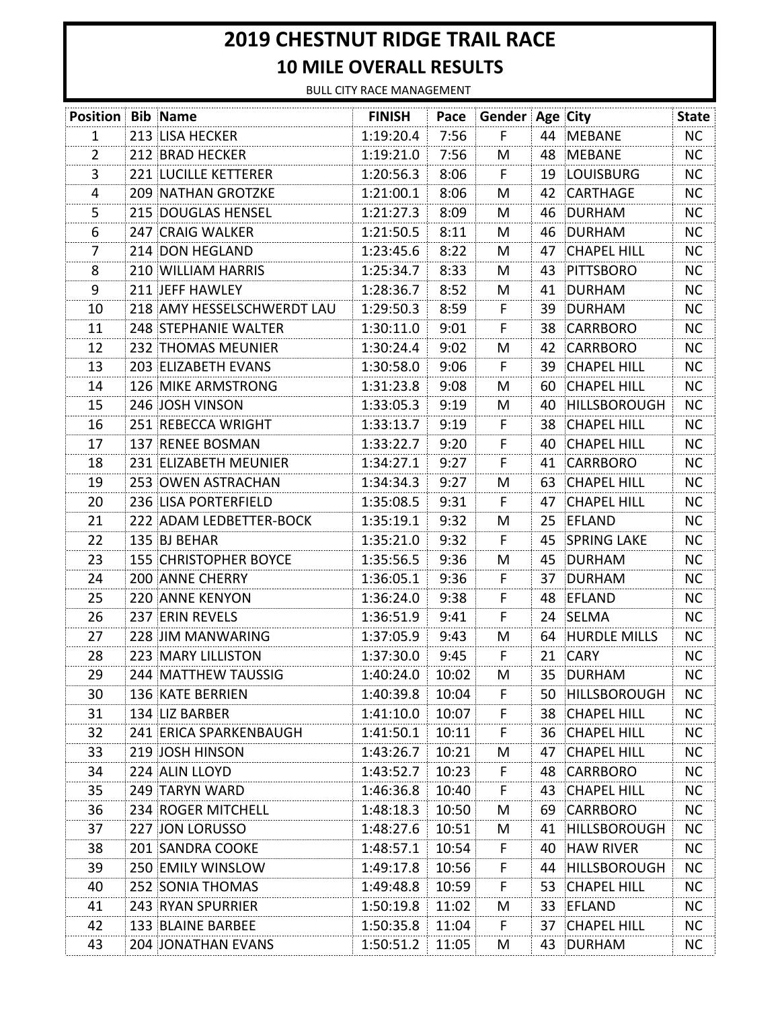## **2019 CHESTNUT RIDGE TRAIL RACE 10 MILE OVERALL RESULTS**

BULL CITY RACE MANAGEMENT

| <b>Position Bib Name</b> |                             | <b>FINISH</b>     |       | Pace Gender Age City |    |                       | <b>State</b> |
|--------------------------|-----------------------------|-------------------|-------|----------------------|----|-----------------------|--------------|
| 1                        | 213 LISA HECKER             | 1:19:20.4         | 7:56  | F.                   |    | 44 MEBANE             | NC.          |
| $\overline{2}$           | 212 BRAD HECKER             | 1:19:21.0         | 7:56  | M                    | 48 | <b>MEBANE</b>         | <b>NC</b>    |
| 3                        | <b>221 LUCILLE KETTERER</b> | 1:20:56.3         | 8:06  | F.                   |    | 19 LOUISBURG          | NC.          |
| 4                        | <b>209 NATHAN GROTZKE</b>   | 1:21:00.1         | 8:06  | M                    | 42 | <b>CARTHAGE</b>       | <b>NC</b>    |
| 5                        | 215 DOUGLAS HENSEL          | 1:21:27.3         | 8:09  | M                    | 46 | DURHAM                | NC.          |
| 6                        | 247 CRAIG WALKER            | 1:21:50.5         | 8:11  | M                    | 46 | <b>DURHAM</b>         | <b>NC</b>    |
| 7                        | 214 DON HEGLAND             | 1:23:45.6         | 8:22  | M                    | 47 | <b>CHAPEL HILL</b>    | <b>NC</b>    |
| 8                        | 210 WILLIAM HARRIS          | 1:25:34.7         | 8:33  | M                    | 43 | PITTSBORO             | <b>NC</b>    |
| 9                        | 211 JEFF HAWLEY             | 1:28:36.7         | 8:52  | M                    | 41 | DURHAM                | NC.          |
| 10                       | 218 AMY HESSELSCHWERDT LAU  | 1:29:50.3         | 8:59  | F                    | 39 | DURHAM                | <b>NC</b>    |
| 11                       | 248 STEPHANIE WALTER        | 1:30:11.0         | 9:01  | F                    | 38 | CARRBORO              | <b>NC</b>    |
| 12                       | 232 THOMAS MEUNIER          | 1:30:24.4         | 9:02  | M                    | 42 | CARRBORO              | <b>NC</b>    |
| 13                       | 203 ELIZABETH EVANS         | 1:30:58.0         | 9:06  | F.                   | 39 | <b>CHAPEL HILL</b>    | <b>NC</b>    |
| 14                       | 126 MIKE ARMSTRONG          | 1:31:23.8         | 9:08  | M                    | 60 | <b>CHAPEL HILL</b>    | <b>NC</b>    |
| 15                       | 246 JOSH VINSON             | 1:33:05.3         | 9:19  | M                    | 40 | <b>HILLSBOROUGH</b>   | <b>NC</b>    |
| 16                       | 251 REBECCA WRIGHT          | 1:33:13.7         | 9:19  | F                    | 38 | <b>CHAPEL HILL</b>    | <b>NC</b>    |
| 17                       | 137 RENEE BOSMAN            | 1:33:22.7         | 9:20  | F                    | 40 | <b>CHAPEL HILL</b>    | <b>NC</b>    |
| 18                       | 231 ELIZABETH MEUNIER       | 1:34:27.1         | 9:27  | F                    | 41 | <b>CARRBORO</b>       | <b>NC</b>    |
| 19                       | 253 OWEN ASTRACHAN          | 1:34:34.3         | 9:27  | M                    | 63 | <b>CHAPEL HILL</b>    | <b>NC</b>    |
| 20                       | 236 LISA PORTERFIELD        | 1:35:08.5         | 9:31  | F.                   | 47 | <b>CHAPEL HILL</b>    | NC.          |
| 21                       | 222 ADAM LEDBETTER-BOCK     | 1:35:19.1         | 9:32  | M                    | 25 | EFLAND                | <b>NC</b>    |
| 22                       | 135 BJ BEHAR                | 1:35:21.0         | 9:32  | F.                   | 45 | <b>SPRING LAKE</b>    | <b>NC</b>    |
| 23                       | 155 CHRISTOPHER BOYCE       | 1:35:56.5         | 9:36  | M                    | 45 | DURHAM                | <b>NC</b>    |
| 24                       | <b>200 ANNE CHERRY</b>      | 1:36:05.1         | 9:36  | F.                   | 37 | DURHAM                | NC.          |
| 25                       | 220 ANNE KENYON             | 1:36:24.0         | 9:38  | F                    |    | 48 EFLAND             | <b>NC</b>    |
| 26                       | 237 ERIN REVELS             | 1:36:51.9         | 9:41  | F                    |    | 24 SELMA              | NC.          |
| 27                       | 228 JIM MANWARING           | 1:37:05.9         | 9:43  | M                    |    | 64 HURDLE MILLS       | <b>NC</b>    |
| 28                       | 223 MARY LILLISTON          | 1:37:30.0         | 9:45  | F                    | 21 | <b>CARY</b>           | <b>NC</b>    |
| 29                       | 244 MATTHEW TAUSSIG         | $1:40:24.0$ 10:02 |       | M                    |    | 35 DURHAM             | NC           |
| 30                       | <b>136 KATE BERRIEN</b>     | 1:40:39.8         | 10:04 | F.                   |    | 50 HILLSBOROUGH       | NC           |
| 31                       | 134 LIZ BARBER              | 1:41:10.0         | 10:07 | F.                   |    | 38 CHAPEL HILL        | <b>NC</b>    |
| 32                       | 241 ERICA SPARKENBAUGH      | 1:41:50.1         | 10:11 | F.                   |    | 36 CHAPEL HILL        | <b>NC</b>    |
| 33                       | 219 JOSH HINSON             | 1:43:26.7         | 10:21 | M                    |    | 47 CHAPEL HILL        | <b>NC</b>    |
| 34                       | 224 ALIN LLOYD              | 1:43:52.7         | 10:23 | F.                   |    | 48 CARRBORO           | NC.          |
| 35                       | 249 TARYN WARD              | 1:46:36.8         | 10:40 | F.                   |    | 43 CHAPEL HILL        | NC           |
| 36                       | 234 ROGER MITCHELL          | 1:48:18.3         | 10:50 | M                    |    | 69 CARRBORO           | <b>NC</b>    |
| 37                       | 227 JON LORUSSO             | 1:48:27.6         | 10:51 | M                    |    | 41 HILLSBOROUGH       | <b>NC</b>    |
| 38                       | 201 SANDRA COOKE            | 1:48:57.1         | 10:54 | F.                   | 40 | <b>HAW RIVER</b>      | <b>NC</b>    |
| 39                       | 250 EMILY WINSLOW           | 1:49:17.8         | 10:56 | F                    |    | 44 HILLSBOROUGH       | <b>NC</b>    |
| 40                       | 252 SONIA THOMAS            | 1:49:48.8         | 10:59 | F.                   |    | 53 CHAPEL HILL        | NC           |
| 41                       | 243 RYAN SPURRIER           | 1:50:19.8         | 11:02 | M                    |    | 33 EFLAND             | <b>NC</b>    |
| 42                       | 133 BLAINE BARBEE           | 1:50:35.8         | 11:04 | F.                   |    | <b>37 CHAPEL HILL</b> | <b>NC</b>    |
| 43                       | <b>204 JONATHAN EVANS</b>   | 1:50:51.2         | 11:05 | M                    |    | 43 DURHAM             | NC.          |